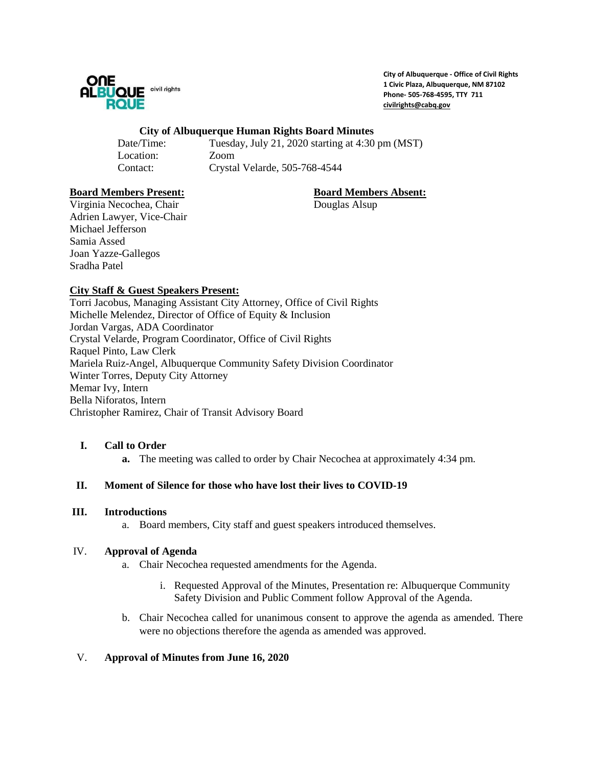

**City of Albuquerque - Office of Civil Rights 1 Civic Plaza, Albuquerque, NM 87102 Phone- 505-768-4595, TTY 711 [civilrights@cabq.gov](mailto:civilrights@cabq.gov)**

#### **City of Albuquerque Human Rights Board Minutes**

Date/Time: Tuesday, July 21, 2020 starting at 4:30 pm (MST) Location: Zoom Contact: Crystal Velarde, 505-768-4544

### **Board Members Present: Board Members Absent:**

Virginia Necochea, Chair Douglas Alsup Adrien Lawyer, Vice-Chair Michael Jefferson Samia Assed Joan Yazze-Gallegos Sradha Patel

# **City Staff & Guest Speakers Present:**

Torri Jacobus, Managing Assistant City Attorney, Office of Civil Rights Michelle Melendez, Director of Office of Equity & Inclusion Jordan Vargas, ADA Coordinator Crystal Velarde, Program Coordinator, Office of Civil Rights Raquel Pinto, Law Clerk Mariela Ruiz-Angel, Albuquerque Community Safety Division Coordinator Winter Torres, Deputy City Attorney Memar Ivy, Intern Bella Niforatos, Intern Christopher Ramirez, Chair of Transit Advisory Board

# **I. Call to Order**

**a.** The meeting was called to order by Chair Necochea at approximately 4:34 pm.

#### **II. Moment of Silence for those who have lost their lives to COVID-19**

#### **III. Introductions**

a. Board members, City staff and guest speakers introduced themselves.

#### IV. **Approval of Agenda**

- a. Chair Necochea requested amendments for the Agenda.
	- i. Requested Approval of the Minutes, Presentation re: Albuquerque Community Safety Division and Public Comment follow Approval of the Agenda.
- b. Chair Necochea called for unanimous consent to approve the agenda as amended. There were no objections therefore the agenda as amended was approved.

#### V. **Approval of Minutes from June 16, 2020**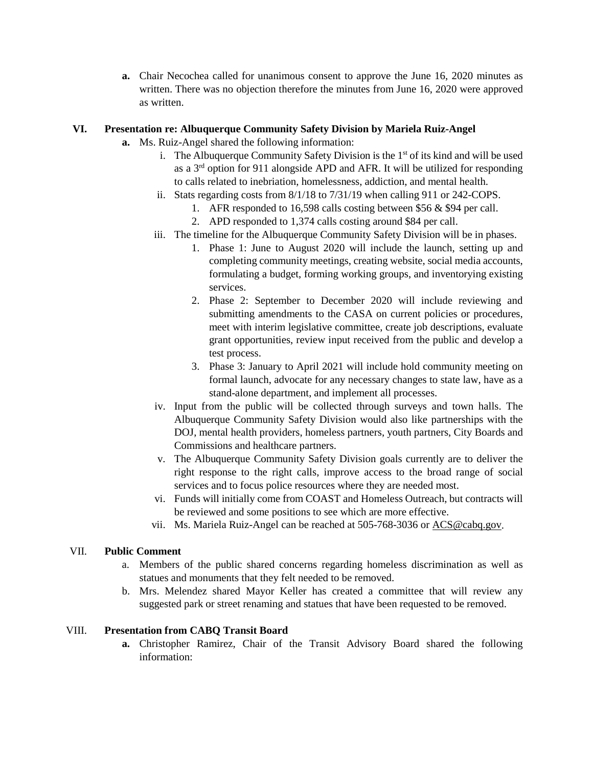**a.** Chair Necochea called for unanimous consent to approve the June 16, 2020 minutes as written. There was no objection therefore the minutes from June 16, 2020 were approved as written.

### **VI. Presentation re: Albuquerque Community Safety Division by Mariela Ruiz-Angel**

- **a.** Ms. Ruiz-Angel shared the following information:
	- i. The Albuquerque Community Safety Division is the  $1<sup>st</sup>$  of its kind and will be used as a  $3<sup>rd</sup>$  option for 911 alongside APD and AFR. It will be utilized for responding to calls related to inebriation, homelessness, addiction, and mental health.
	- ii. Stats regarding costs from 8/1/18 to 7/31/19 when calling 911 or 242-COPS.
		- 1. AFR responded to 16,598 calls costing between \$56 & \$94 per call.
		- 2. APD responded to 1,374 calls costing around \$84 per call.
	- iii. The timeline for the Albuquerque Community Safety Division will be in phases.
		- 1. Phase 1: June to August 2020 will include the launch, setting up and completing community meetings, creating website, social media accounts, formulating a budget, forming working groups, and inventorying existing services.
		- 2. Phase 2: September to December 2020 will include reviewing and submitting amendments to the CASA on current policies or procedures, meet with interim legislative committee, create job descriptions, evaluate grant opportunities, review input received from the public and develop a test process.
		- 3. Phase 3: January to April 2021 will include hold community meeting on formal launch, advocate for any necessary changes to state law, have as a stand-alone department, and implement all processes.
	- iv. Input from the public will be collected through surveys and town halls. The Albuquerque Community Safety Division would also like partnerships with the DOJ, mental health providers, homeless partners, youth partners, City Boards and Commissions and healthcare partners.
	- v. The Albuquerque Community Safety Division goals currently are to deliver the right response to the right calls, improve access to the broad range of social services and to focus police resources where they are needed most.
	- vi. Funds will initially come from COAST and Homeless Outreach, but contracts will be reviewed and some positions to see which are more effective.
	- vii. Ms. Mariela Ruiz-Angel can be reached at 505-768-3036 or [ACS@cabq.gov.](mailto:ACS@cabq.gov)

#### VII. **Public Comment**

- a. Members of the public shared concerns regarding homeless discrimination as well as statues and monuments that they felt needed to be removed.
- b. Mrs. Melendez shared Mayor Keller has created a committee that will review any suggested park or street renaming and statues that have been requested to be removed.

#### VIII. **Presentation from CABQ Transit Board**

**a.** Christopher Ramirez, Chair of the Transit Advisory Board shared the following information: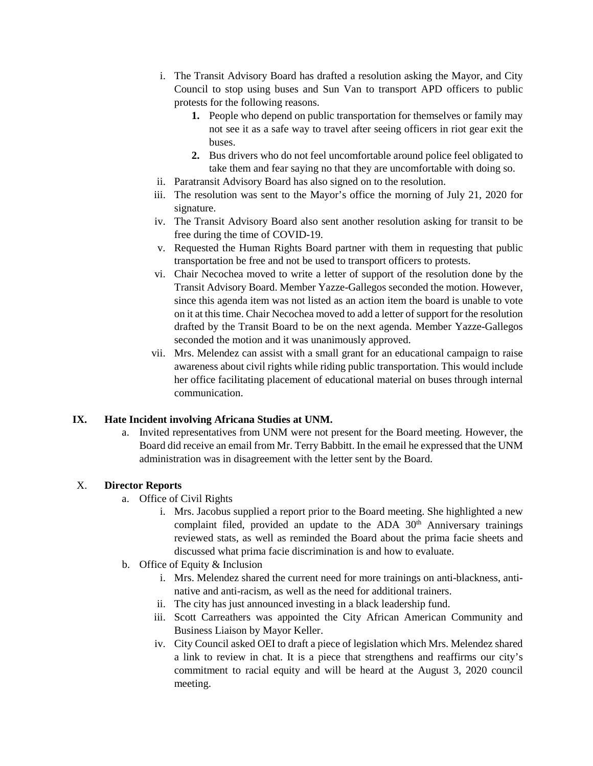- i. The Transit Advisory Board has drafted a resolution asking the Mayor, and City Council to stop using buses and Sun Van to transport APD officers to public protests for the following reasons.
	- **1.** People who depend on public transportation for themselves or family may not see it as a safe way to travel after seeing officers in riot gear exit the buses.
	- **2.** Bus drivers who do not feel uncomfortable around police feel obligated to take them and fear saying no that they are uncomfortable with doing so.
- ii. Paratransit Advisory Board has also signed on to the resolution.
- iii. The resolution was sent to the Mayor's office the morning of July 21, 2020 for signature.
- iv. The Transit Advisory Board also sent another resolution asking for transit to be free during the time of COVID-19.
- v. Requested the Human Rights Board partner with them in requesting that public transportation be free and not be used to transport officers to protests.
- vi. Chair Necochea moved to write a letter of support of the resolution done by the Transit Advisory Board. Member Yazze-Gallegos seconded the motion. However, since this agenda item was not listed as an action item the board is unable to vote on it at this time. Chair Necochea moved to add a letter of support for the resolution drafted by the Transit Board to be on the next agenda. Member Yazze-Gallegos seconded the motion and it was unanimously approved.
- vii. Mrs. Melendez can assist with a small grant for an educational campaign to raise awareness about civil rights while riding public transportation. This would include her office facilitating placement of educational material on buses through internal communication.

# **IX. Hate Incident involving Africana Studies at UNM.**

a. Invited representatives from UNM were not present for the Board meeting. However, the Board did receive an email from Mr. Terry Babbitt. In the email he expressed that the UNM administration was in disagreement with the letter sent by the Board.

# X. **Director Reports**

- a. Office of Civil Rights
	- i. Mrs. Jacobus supplied a report prior to the Board meeting. She highlighted a new complaint filed, provided an update to the ADA  $30<sup>th</sup>$  Anniversary trainings reviewed stats, as well as reminded the Board about the prima facie sheets and discussed what prima facie discrimination is and how to evaluate.
- b. Office of Equity & Inclusion
	- i. Mrs. Melendez shared the current need for more trainings on anti-blackness, antinative and anti-racism, as well as the need for additional trainers.
	- ii. The city has just announced investing in a black leadership fund.
	- iii. Scott Carreathers was appointed the City African American Community and Business Liaison by Mayor Keller.
	- iv. City Council asked OEI to draft a piece of legislation which Mrs. Melendez shared a link to review in chat. It is a piece that strengthens and reaffirms our city's commitment to racial equity and will be heard at the August 3, 2020 council meeting.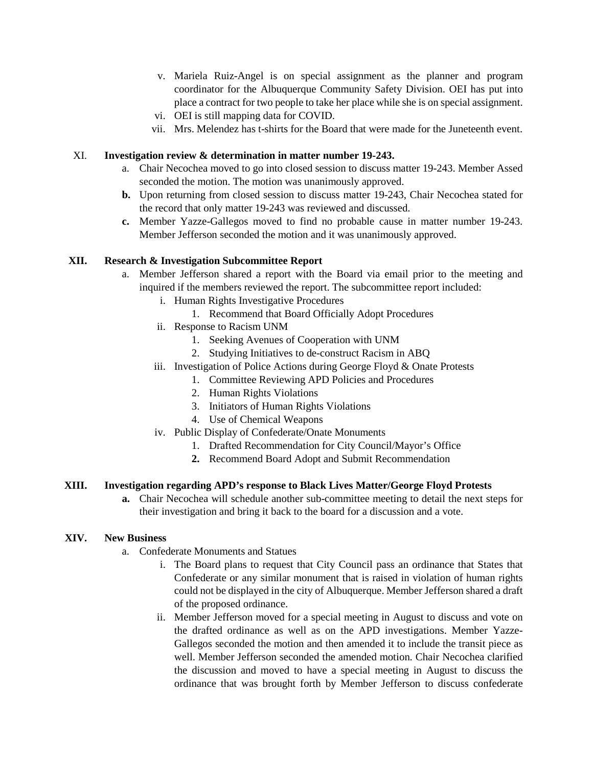- v. Mariela Ruiz-Angel is on special assignment as the planner and program coordinator for the Albuquerque Community Safety Division. OEI has put into place a contract for two people to take her place while she is on special assignment.
- vi. OEI is still mapping data for COVID.
- vii. Mrs. Melendez has t-shirts for the Board that were made for the Juneteenth event.

### XI. **Investigation review & determination in matter number 19-243.**

- a. Chair Necochea moved to go into closed session to discuss matter 19-243. Member Assed seconded the motion. The motion was unanimously approved.
- **b.** Upon returning from closed session to discuss matter 19-243, Chair Necochea stated for the record that only matter 19-243 was reviewed and discussed.
- **c.** Member Yazze-Gallegos moved to find no probable cause in matter number 19-243. Member Jefferson seconded the motion and it was unanimously approved.

### **XII. Research & Investigation Subcommittee Report**

- a. Member Jefferson shared a report with the Board via email prior to the meeting and inquired if the members reviewed the report. The subcommittee report included:
	- i. Human Rights Investigative Procedures
		- 1. Recommend that Board Officially Adopt Procedures
	- ii. Response to Racism UNM
		- 1. Seeking Avenues of Cooperation with UNM
		- 2. Studying Initiatives to de-construct Racism in ABQ
	- iii. Investigation of Police Actions during George Floyd & Onate Protests
		- 1. Committee Reviewing APD Policies and Procedures
		- 2. Human Rights Violations
		- 3. Initiators of Human Rights Violations
		- 4. Use of Chemical Weapons
	- iv. Public Display of Confederate/Onate Monuments
		- 1. Drafted Recommendation for City Council/Mayor's Office
		- **2.** Recommend Board Adopt and Submit Recommendation

# **XIII. Investigation regarding APD's response to Black Lives Matter/George Floyd Protests**

**a.** Chair Necochea will schedule another sub-committee meeting to detail the next steps for their investigation and bring it back to the board for a discussion and a vote.

#### **XIV. New Business**

- a. Confederate Monuments and Statues
	- i. The Board plans to request that City Council pass an ordinance that States that Confederate or any similar monument that is raised in violation of human rights could not be displayed in the city of Albuquerque. Member Jefferson shared a draft of the proposed ordinance.
	- ii. Member Jefferson moved for a special meeting in August to discuss and vote on the drafted ordinance as well as on the APD investigations. Member Yazze-Gallegos seconded the motion and then amended it to include the transit piece as well. Member Jefferson seconded the amended motion. Chair Necochea clarified the discussion and moved to have a special meeting in August to discuss the ordinance that was brought forth by Member Jefferson to discuss confederate